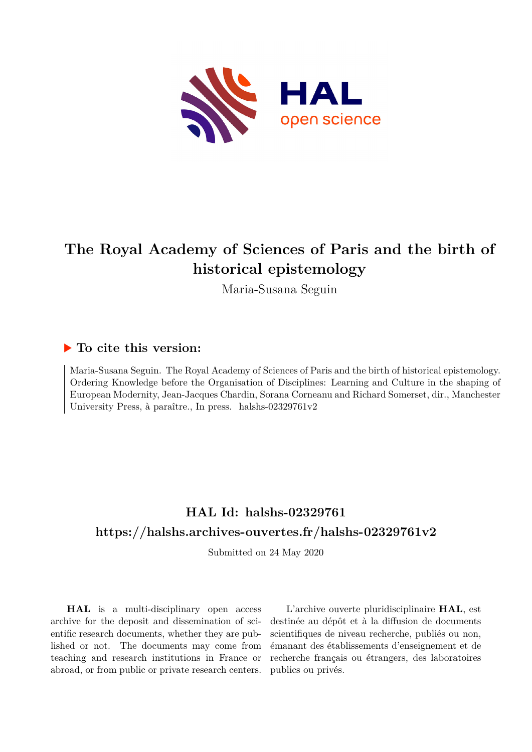

# **The Royal Academy of Sciences of Paris and the birth of historical epistemology**

Maria-Susana Seguin

# **To cite this version:**

Maria-Susana Seguin. The Royal Academy of Sciences of Paris and the birth of historical epistemology. Ordering Knowledge before the Organisation of Disciplines: Learning and Culture in the shaping of European Modernity, Jean-Jacques Chardin, Sorana Corneanu and Richard Somerset, dir., Manchester University Press, à paraître., In press. halshs-02329761v2

# **HAL Id: halshs-02329761 <https://halshs.archives-ouvertes.fr/halshs-02329761v2>**

Submitted on 24 May 2020

**HAL** is a multi-disciplinary open access archive for the deposit and dissemination of scientific research documents, whether they are published or not. The documents may come from teaching and research institutions in France or abroad, or from public or private research centers.

L'archive ouverte pluridisciplinaire **HAL**, est destinée au dépôt et à la diffusion de documents scientifiques de niveau recherche, publiés ou non, émanant des établissements d'enseignement et de recherche français ou étrangers, des laboratoires publics ou privés.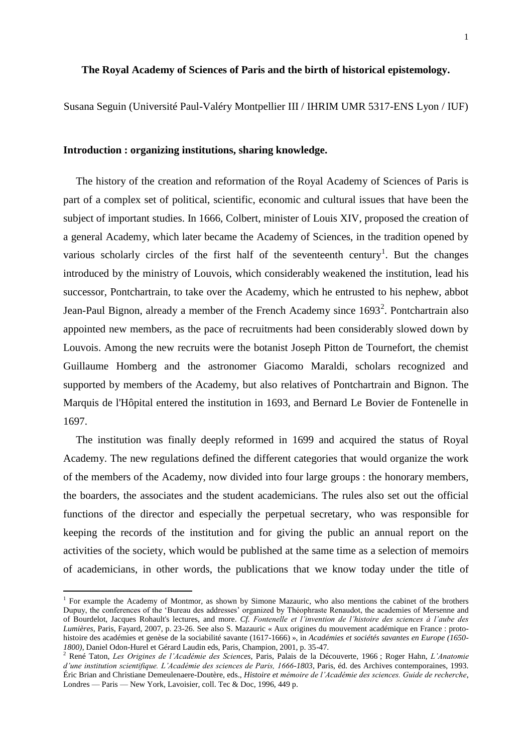## **The Royal Academy of Sciences of Paris and the birth of historical epistemology.**

Susana Seguin (Université Paul-Valéry Montpellier III / IHRIM UMR 5317-ENS Lyon / IUF)

#### **Introduction : organizing institutions, sharing knowledge.**

The history of the creation and reformation of the Royal Academy of Sciences of Paris is part of a complex set of political, scientific, economic and cultural issues that have been the subject of important studies. In 1666, Colbert, minister of Louis XIV, proposed the creation of a general Academy, which later became the Academy of Sciences, in the tradition opened by various scholarly circles of the first half of the seventeenth century<sup>1</sup>. But the changes introduced by the ministry of Louvois, which considerably weakened the institution, lead his successor, Pontchartrain, to take over the Academy, which he entrusted to his nephew, abbot Jean-Paul Bignon, already a member of the French Academy since  $1693^2$ . Pontchartrain also appointed new members, as the pace of recruitments had been considerably slowed down by Louvois. Among the new recruits were the botanist Joseph Pitton de Tournefort, the chemist Guillaume Homberg and the astronomer Giacomo Maraldi, scholars recognized and supported by members of the Academy, but also relatives of Pontchartrain and Bignon. The Marquis de l'Hôpital entered the institution in 1693, and Bernard Le Bovier de Fontenelle in 1697.

The institution was finally deeply reformed in 1699 and acquired the status of Royal Academy. The new regulations defined the different categories that would organize the work of the members of the Academy, now divided into four large groups : the honorary members, the boarders, the associates and the student academicians. The rules also set out the official functions of the director and especially the perpetual secretary, who was responsible for keeping the records of the institution and for giving the public an annual report on the activities of the society, which would be published at the same time as a selection of memoirs of academicians, in other words, the publications that we know today under the title of

í

<sup>&</sup>lt;sup>1</sup> For example the Academy of Montmor, as shown by Simone Mazauric, who also mentions the cabinet of the brothers Dupuy, the conferences of the 'Bureau des addresses' organized by Théophraste Renaudot, the academies of Mersenne and of Bourdelot, Jacques Rohault's lectures, and more. *Cf. Fontenelle et l'invention de l'histoire des sciences à l'aube des Lumières*, Paris, Fayard, 2007, p. 23-26. See also S. Mazauric « Aux origines du mouvement académique en France : protohistoire des académies et genèse de la sociabilité savante (1617-1666) », in *Académies et sociétés savantes en Europe (1650- 1800)*, Daniel Odon-Hurel et Gérard Laudin eds, Paris, Champion, 2001, p. 35-47.

<sup>2</sup> René Taton, *Les Origines de l'Académie des Sciences*, Paris, Palais de la Découverte, 1966 ; Roger Hahn, *L'Anatomie d'une institution scientifique. L'Académie des sciences de Paris, 1666-1803*, Paris, éd. des Archives contemporaines, 1993. Éric Brian and Christiane Demeulenaere-Doutère, eds., *Histoire et mémoire de l'Académie des sciences. Guide de recherche*, Londres — Paris — New York, Lavoisier, coll. Tec & Doc, 1996, 449 p.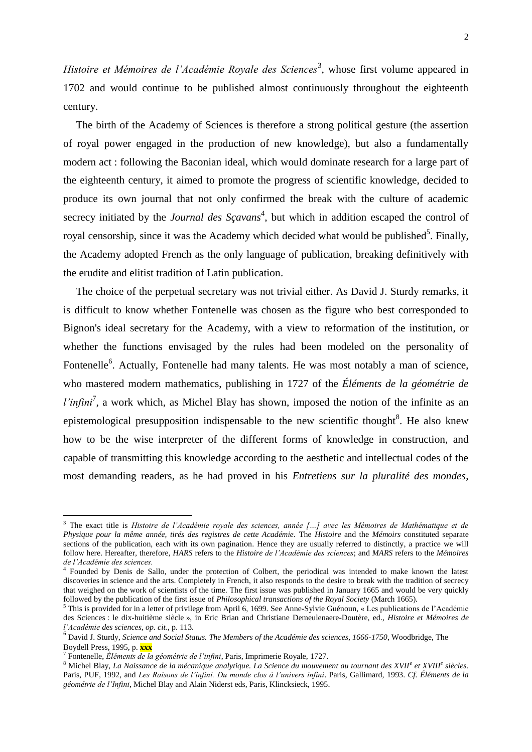*Histoire et Mémoires de l'Académie Royale des Sciences<sup>3</sup>, whose first volume appeared in* 1702 and would continue to be published almost continuously throughout the eighteenth century.

The birth of the Academy of Sciences is therefore a strong political gesture (the assertion of royal power engaged in the production of new knowledge), but also a fundamentally modern act : following the Baconian ideal, which would dominate research for a large part of the eighteenth century, it aimed to promote the progress of scientific knowledge, decided to produce its own journal that not only confirmed the break with the culture of academic secrecy initiated by the *Journal des Sçavans*<sup>4</sup>, but which in addition escaped the control of royal censorship, since it was the Academy which decided what would be published<sup>5</sup>. Finally, the Academy adopted French as the only language of publication, breaking definitively with the erudite and elitist tradition of Latin publication.

The choice of the perpetual secretary was not trivial either. As David J. Sturdy remarks, it is difficult to know whether Fontenelle was chosen as the figure who best corresponded to Bignon's ideal secretary for the Academy, with a view to reformation of the institution, or whether the functions envisaged by the rules had been modeled on the personality of Fontenelle<sup>6</sup>. Actually, Fontenelle had many talents. He was most notably a man of science, who mastered modern mathematics, publishing in 1727 of the *Éléments de la géométrie de l'infini*<sup>7</sup>, a work which, as Michel Blay has shown, imposed the notion of the infinite as an epistemological presupposition indispensable to the new scientific thought $8$ . He also knew how to be the wise interpreter of the different forms of knowledge in construction, and capable of transmitting this knowledge according to the aesthetic and intellectual codes of the most demanding readers, as he had proved in his *Entretiens sur la pluralité des mondes*,

í

<sup>3</sup> The exact title is *Histoire de l'Académie royale des sciences, année […] avec les Mémoires de Mathématique et de Physique pour la même année, tirés des registres de cette Académie.* The *Histoire* and the *Mémoirs* constituted separate sections of the publication, each with its own pagination. Hence they are usually referred to distinctly, a practice we will follow here. Hereafter, therefore, *HARS* refers to the *Histoire de l'Académie des sciences*; and *MARS* refers to the *Mémoires de l'Académie des sciences.*

<sup>4</sup> Founded by Denis de Sallo, under the protection of Colbert, the periodical was intended to make known the latest discoveries in science and the arts. Completely in French, it also responds to the desire to break with the tradition of secrecy that weighed on the work of scientists of the time. The first issue was published in January 1665 and would be very quickly followed by the publication of the first issue of *Philosophical transactions of the Royal Society* (March 1665).

 $<sup>5</sup>$  This is provided for in a letter of privilege from April 6, 1699. See Anne-Sylvie Guénoun, « Les publications de l'Académie</sup> des Sciences : le dix-huitième siècle », in Eric Brian and Christiane Demeulenaere-Doutère, ed., *Histoire et Mémoires de l'Académie des sciences*, *op. cit*., p. 113.

<sup>6</sup> David J. Sturdy, *Science and Social Status. The Members of the Académie des sciences, 1666-1750*, Woodbridge, The Boydell Press, 1995, p. **xxx**

<sup>7</sup> Fontenelle, *Éléments de la géométrie de l'infini*, Paris, Imprimerie Royale, 1727.

<sup>8</sup> Michel Blay, *La Naissance de la mécanique analytique. La Science du mouvement au tournant des XVII<sup>e</sup> et XVIII<sup>e</sup> siècles.*  Paris, PUF, 1992, and *Les Raisons de l'infini. Du monde clos à l'univers infini*. Paris, Gallimard, 1993. *Cf. Éléments de la géométrie de l'Infini*, Michel Blay and Alain Niderst eds, Paris, Klincksieck, 1995.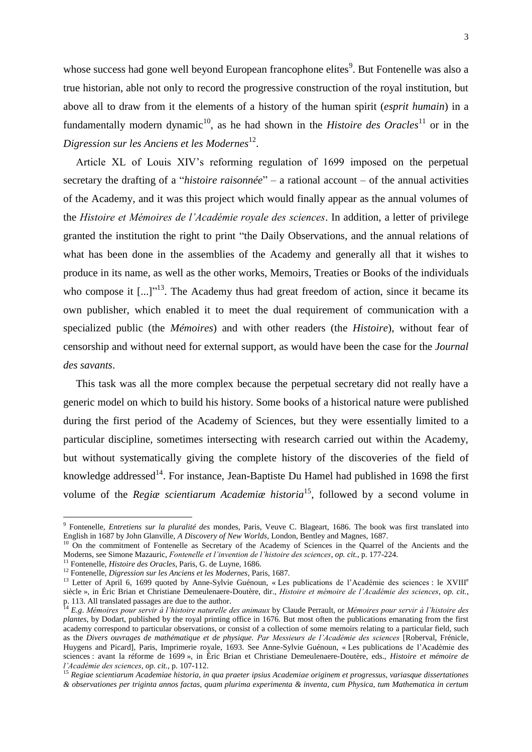whose success had gone well beyond European francophone elites<sup>9</sup>. But Fontenelle was also a true historian, able not only to record the progressive construction of the royal institution, but above all to draw from it the elements of a history of the human spirit (*esprit humain*) in a fundamentally modern dynamic<sup>10</sup>, as he had shown in the *Histoire des Oracles*<sup>11</sup> or in the *Digression sur les Anciens et les Modernes*<sup>12</sup> .

Article XL of Louis XIV's reforming regulation of 1699 imposed on the perpetual secretary the drafting of a "*histoire raisonnée*" – a rational account – of the annual activities of the Academy, and it was this project which would finally appear as the annual volumes of the *Histoire et Mémoires de l'Académie royale des sciences*. In addition, a letter of privilege granted the institution the right to print "the Daily Observations, and the annual relations of what has been done in the assemblies of the Academy and generally all that it wishes to produce in its name, as well as the other works, Memoirs, Treaties or Books of the individuals who compose it  $\left[...\right]^{13}$ . The Academy thus had great freedom of action, since it became its own publisher, which enabled it to meet the dual requirement of communication with a specialized public (the *Mémoires*) and with other readers (the *Histoire*), without fear of censorship and without need for external support, as would have been the case for the *Journal des savants*.

This task was all the more complex because the perpetual secretary did not really have a generic model on which to build his history. Some books of a historical nature were published during the first period of the Academy of Sciences, but they were essentially limited to a particular discipline, sometimes intersecting with research carried out within the Academy, but without systematically giving the complete history of the discoveries of the field of knowledge addressed<sup>14</sup>. For instance, Jean-Baptiste Du Hamel had published in 1698 the first volume of the *Regiæ scientiarum Academiæ historia*<sup>15</sup>, followed by a second volume in

 9 Fontenelle, *Entretiens sur la pluralité des* mondes, Paris, Veuve C. Blageart, 1686. The book was first translated into English in 1687 by John Glanville, *A Discovery of New Worlds*, London, Bentley and Magnes, 1687.

<sup>&</sup>lt;sup>10</sup> On the commitment of Fontenelle as Secretary of the Academy of Sciences in the Quarrel of the Ancients and the Moderns, see Simone Mazauric, *Fontenelle et l'invention de l'histoire des sciences*, *op. cit.*, p. 177-224.

<sup>11</sup> Fontenelle, *Histoire des Oracles*, Paris, G. de Luyne, 1686.

<sup>12</sup> Fontenelle, *Digression sur les Anciens et les Modernes*, Paris, 1687.

 $13$  Letter of April 6, 1699 quoted by Anne-Sylvie Guénoun, « Les publications de l'Académie des sciences : le XVIII<sup>e</sup> siècle », in Éric Brian et Christiane Demeulenaere-Doutère, dir., *Histoire et mémoire de l'Académie des sciences*, *op. cit.*, p. 113. All translated passages are due to the author.

<sup>14</sup> *E.g*. *Mémoires pour servir à l'histoire naturelle des animaux* by Claude Perrault, or *Mémoires pour servir à l'histoire des plantes*, by Dodart, published by the royal printing office in 1676. But most often the publications emanating from the first academy correspond to particular observations, or consist of a collection of some memoirs relating to a particular field, such as the *Divers ouvrages de mathématique et de physique. Par Messieurs de l'Académie des sciences* [Roberval, Frénicle, Huygens and Picard], Paris, Imprimerie royale, 1693. See Anne-Sylvie Guénoun, « Les publications de l'Académie des sciences : avant la réforme de 1699 », in Éric Brian et Christiane Demeulenaere-Doutère, eds., *Histoire et mémoire de l'Académie des sciences*, *op. cit.*, p. 107-112.

<sup>15</sup> *Regiae scientiarum Academiae historia, in qua praeter ipsius Academiae originem et progressus, variasque dissertationes & observationes per triginta annos factas, quam plurima experimenta & inventa, cum Physica, tum Mathematica in certum*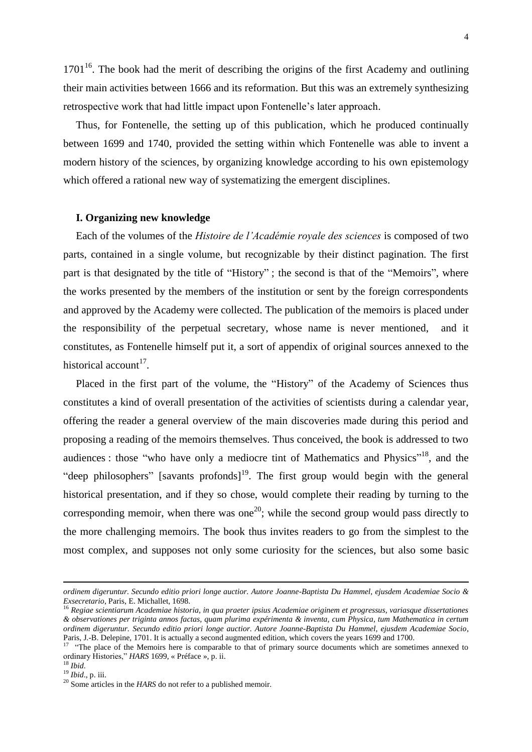$1701<sup>16</sup>$ . The book had the merit of describing the origins of the first Academy and outlining their main activities between 1666 and its reformation. But this was an extremely synthesizing retrospective work that had little impact upon Fontenelle's later approach.

Thus, for Fontenelle, the setting up of this publication, which he produced continually between 1699 and 1740, provided the setting within which Fontenelle was able to invent a modern history of the sciences, by organizing knowledge according to his own epistemology which offered a rational new way of systematizing the emergent disciplines.

### **I. Organizing new knowledge**

Each of the volumes of the *Histoire de l'Académie royale des sciences* is composed of two parts, contained in a single volume, but recognizable by their distinct pagination. The first part is that designated by the title of "History" ; the second is that of the "Memoirs", where the works presented by the members of the institution or sent by the foreign correspondents and approved by the Academy were collected. The publication of the memoirs is placed under the responsibility of the perpetual secretary, whose name is never mentioned, and it constitutes, as Fontenelle himself put it, a sort of appendix of original sources annexed to the historical account<sup>17</sup>.

Placed in the first part of the volume, the "History" of the Academy of Sciences thus constitutes a kind of overall presentation of the activities of scientists during a calendar year, offering the reader a general overview of the main discoveries made during this period and proposing a reading of the memoirs themselves. Thus conceived, the book is addressed to two audiences : those "who have only a mediocre tint of Mathematics and Physics"<sup>18</sup>, and the "deep philosophers" [savants profonds]<sup>19</sup>. The first group would begin with the general historical presentation, and if they so chose, would complete their reading by turning to the corresponding memoir, when there was one<sup>20</sup>; while the second group would pass directly to the more challenging memoirs. The book thus invites readers to go from the simplest to the most complex, and supposes not only some curiosity for the sciences, but also some basic

-

*ordinem digeruntur. Secundo editio priori longe auctior. Autore Joanne-Baptista Du Hammel, ejusdem Academiae Socio & Exsecretario*, Paris, E. Michallet, 1698.

<sup>16</sup> *Regiae scientiarum Academiae historia, in qua praeter ipsius Academiae originem et progressus, variasque dissertationes & observationes per triginta annos factas, quam plurima expérimenta & inventa, cum Physica, tum Mathematica in certum ordinem digeruntur. Secundo editio priori longe auctior. Autore Joanne-Baptista Du Hammel, ejusdem Academiae Socio*, Paris, J.-B. Delepine, 1701. It is actually a second augmented edition, which covers the years 1699 and 1700.<br><sup>17</sup> "The place of the Mamoirs hare is comparable to that of primary source documents which are someti-

 <sup>&</sup>quot;The place of the Memoirs here is comparable to that of primary source documents which are sometimes annexed to ordinary Histories," *HARS* 1699, « Préface », p. ii.

<sup>18</sup> *Ibid*.

<sup>19</sup> *Ibid*., p. iii.

<sup>&</sup>lt;sup>20</sup> Some articles in the *HARS* do not refer to a published memoir.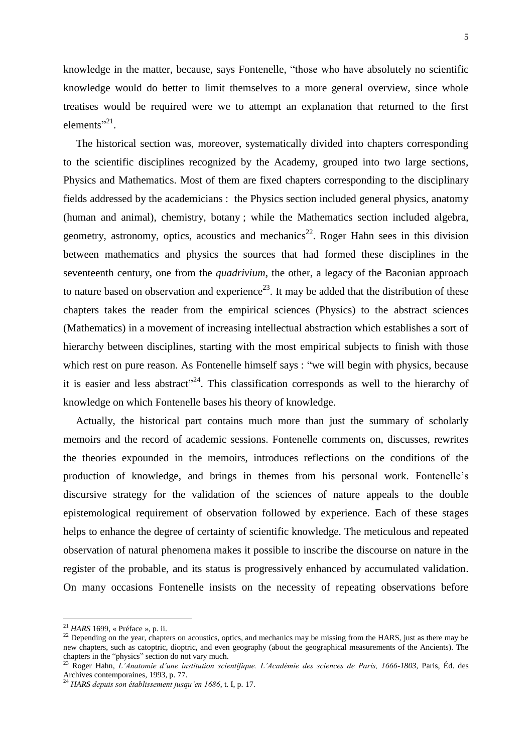knowledge in the matter, because, says Fontenelle, "those who have absolutely no scientific knowledge would do better to limit themselves to a more general overview, since whole treatises would be required were we to attempt an explanation that returned to the first  $elements$ <sup>21</sup>.

The historical section was, moreover, systematically divided into chapters corresponding to the scientific disciplines recognized by the Academy, grouped into two large sections, Physics and Mathematics. Most of them are fixed chapters corresponding to the disciplinary fields addressed by the academicians : the Physics section included general physics, anatomy (human and animal), chemistry, botany ; while the Mathematics section included algebra, geometry, astronomy, optics, acoustics and mechanics<sup>22</sup>. Roger Hahn sees in this division between mathematics and physics the sources that had formed these disciplines in the seventeenth century, one from the *quadrivium*, the other, a legacy of the Baconian approach to nature based on observation and experience<sup>23</sup>. It may be added that the distribution of these chapters takes the reader from the empirical sciences (Physics) to the abstract sciences (Mathematics) in a movement of increasing intellectual abstraction which establishes a sort of hierarchy between disciplines, starting with the most empirical subjects to finish with those which rest on pure reason. As Fontenelle himself says : "we will begin with physics, because it is easier and less abstract"<sup>24</sup>. This classification corresponds as well to the hierarchy of knowledge on which Fontenelle bases his theory of knowledge.

Actually, the historical part contains much more than just the summary of scholarly memoirs and the record of academic sessions. Fontenelle comments on, discusses, rewrites the theories expounded in the memoirs, introduces reflections on the conditions of the production of knowledge, and brings in themes from his personal work. Fontenelle's discursive strategy for the validation of the sciences of nature appeals to the double epistemological requirement of observation followed by experience. Each of these stages helps to enhance the degree of certainty of scientific knowledge. The meticulous and repeated observation of natural phenomena makes it possible to inscribe the discourse on nature in the register of the probable, and its status is progressively enhanced by accumulated validation. On many occasions Fontenelle insists on the necessity of repeating observations before

<sup>21</sup> *HARS* 1699, « Préface », p. ii.

<sup>&</sup>lt;sup>22</sup> Depending on the year, chapters on acoustics, optics, and mechanics may be missing from the HARS, just as there may be new chapters, such as catoptric, dioptric, and even geography (about the geographical measurements of the Ancients). The chapters in the "physics" section do not vary much.

<sup>23</sup> Roger Hahn, *L'Anatomie d'une institution scientifique. L'Académie des sciences de Paris, 1666-1803*, Paris, Éd. des Archives contemporaines, 1993, p. 77.

<sup>24</sup> *HARS depuis son établissement jusqu'en 1686*, t. I, p. 17.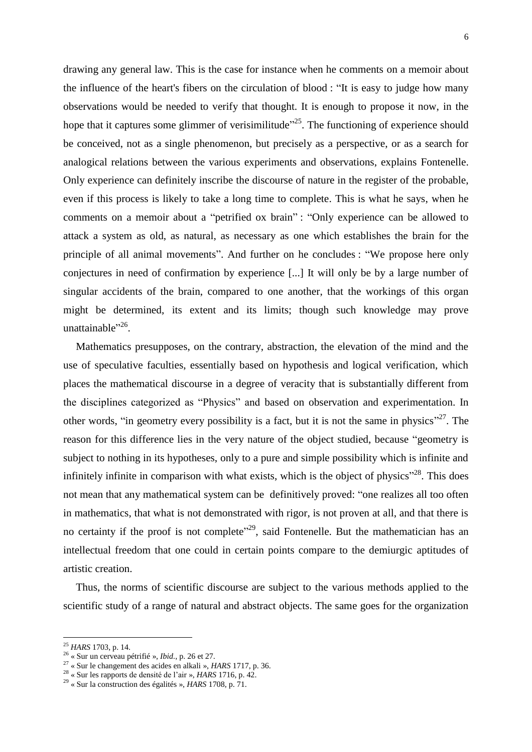drawing any general law. This is the case for instance when he comments on a memoir about the influence of the heart's fibers on the circulation of blood : "It is easy to judge how many observations would be needed to verify that thought. It is enough to propose it now, in the hope that it captures some glimmer of verisimilitude<sup>225</sup>. The functioning of experience should be conceived, not as a single phenomenon, but precisely as a perspective, or as a search for analogical relations between the various experiments and observations, explains Fontenelle. Only experience can definitely inscribe the discourse of nature in the register of the probable, even if this process is likely to take a long time to complete. This is what he says, when he comments on a memoir about a "petrified ox brain" : "Only experience can be allowed to attack a system as old, as natural, as necessary as one which establishes the brain for the principle of all animal movements". And further on he concludes : "We propose here only conjectures in need of confirmation by experience [...] It will only be by a large number of

singular accidents of the brain, compared to one another, that the workings of this organ might be determined, its extent and its limits; though such knowledge may prove unattainable"<sup>26</sup>.

Mathematics presupposes, on the contrary, abstraction, the elevation of the mind and the use of speculative faculties, essentially based on hypothesis and logical verification, which places the mathematical discourse in a degree of veracity that is substantially different from the disciplines categorized as "Physics" and based on observation and experimentation. In other words, "in geometry every possibility is a fact, but it is not the same in physics"<sup>27</sup>. The reason for this difference lies in the very nature of the object studied, because "geometry is subject to nothing in its hypotheses, only to a pure and simple possibility which is infinite and infinitely infinite in comparison with what exists, which is the object of physics<sup> $28$ </sup>. This does not mean that any mathematical system can be definitively proved: "one realizes all too often in mathematics, that what is not demonstrated with rigor, is not proven at all, and that there is no certainty if the proof is not complete<sup> $29$ </sup>, said Fontenelle. But the mathematician has an intellectual freedom that one could in certain points compare to the demiurgic aptitudes of artistic creation.

Thus, the norms of scientific discourse are subject to the various methods applied to the scientific study of a range of natural and abstract objects. The same goes for the organization

<sup>25</sup> *HARS* 1703, p. 14.

<sup>26</sup> « Sur un cerveau pétrifié », *Ibid.*, p. 26 et 27.

<sup>27</sup> « Sur le changement des acides en alkali », *HARS* 1717, p. 36.

<sup>28</sup> « Sur les rapports de densité de l'air », *HARS* 1716, p. 42.

<sup>29</sup> « Sur la construction des égalités », *HARS* 1708, p. 71.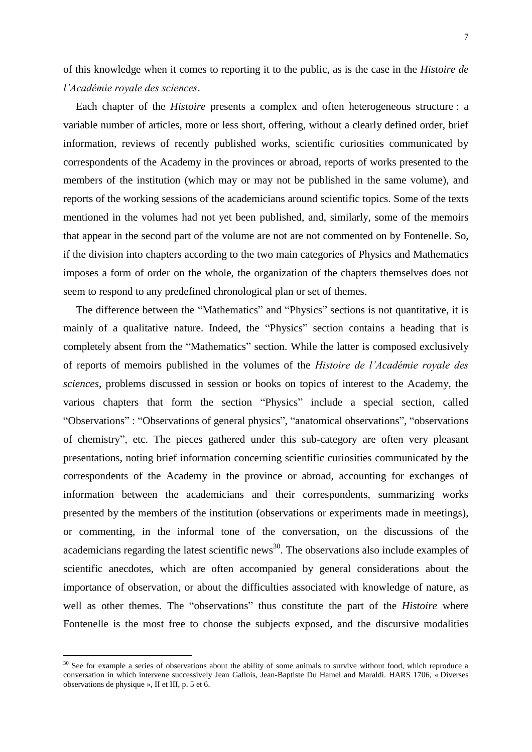of this knowledge when it comes to reporting it to the public, as is the case in the *Histoire de l'Académie royale des sciences*.

Each chapter of the *Histoire* presents a complex and often heterogeneous structure : a variable number of articles, more or less short, offering, without a clearly defined order, brief information, reviews of recently published works, scientific curiosities communicated by correspondents of the Academy in the provinces or abroad, reports of works presented to the members of the institution (which may or may not be published in the same volume), and reports of the working sessions of the academicians around scientific topics. Some of the texts mentioned in the volumes had not yet been published, and, similarly, some of the memoirs that appear in the second part of the volume are not are not commented on by Fontenelle. So, if the division into chapters according to the two main categories of Physics and Mathematics imposes a form of order on the whole, the organization of the chapters themselves does not seem to respond to any predefined chronological plan or set of themes.

The difference between the "Mathematics" and "Physics" sections is not quantitative, it is mainly of a qualitative nature. Indeed, the "Physics" section contains a heading that is completely absent from the "Mathematics" section. While the latter is composed exclusively of reports of memoirs published in the volumes of the *Histoire de l'Académie royale des sciences*, problems discussed in session or books on topics of interest to the Academy, the various chapters that form the section "Physics" include a special section, called "Observations" : "Observations of general physics", "anatomical observations", "observations of chemistry", etc. The pieces gathered under this sub-category are often very pleasant presentations, noting brief information concerning scientific curiosities communicated by the correspondents of the Academy in the province or abroad, accounting for exchanges of information between the academicians and their correspondents, summarizing works presented by the members of the institution (observations or experiments made in meetings), or commenting, in the informal tone of the conversation, on the discussions of the academicians regarding the latest scientific news<sup>30</sup>. The observations also include examples of scientific anecdotes, which are often accompanied by general considerations about the importance of observation, or about the difficulties associated with knowledge of nature, as well as other themes. The "observations" thus constitute the part of the *Histoire* where Fontenelle is the most free to choose the subjects exposed, and the discursive modalities

<sup>&</sup>lt;sup>30</sup> See for example a series of observations about the ability of some animals to survive without food, which reproduce a conversation in which intervene successively Jean Gallois, Jean-Baptiste Du Hamel and Maraldi. HARS 1706, « Diverses observations de physique », II et III, p. 5 et 6.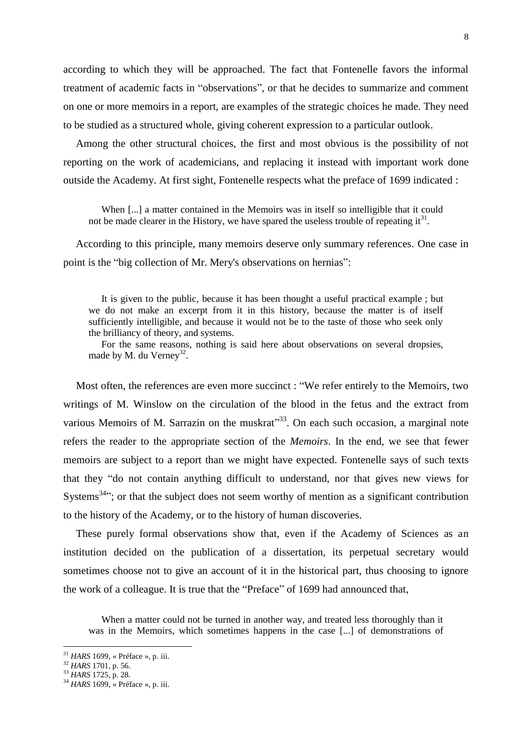according to which they will be approached. The fact that Fontenelle favors the informal treatment of academic facts in "observations", or that he decides to summarize and comment on one or more memoirs in a report, are examples of the strategic choices he made. They need to be studied as a structured whole, giving coherent expression to a particular outlook.

Among the other structural choices, the first and most obvious is the possibility of not reporting on the work of academicians, and replacing it instead with important work done outside the Academy. At first sight, Fontenelle respects what the preface of 1699 indicated :

When [...] a matter contained in the Memoirs was in itself so intelligible that it could not be made clearer in the History, we have spared the useless trouble of repeating  $it<sup>31</sup>$ .

According to this principle, many memoirs deserve only summary references. One case in point is the "big collection of Mr. Mery's observations on hernias":

It is given to the public, because it has been thought a useful practical example ; but we do not make an excerpt from it in this history, because the matter is of itself sufficiently intelligible, and because it would not be to the taste of those who seek only the brilliancy of theory, and systems.

For the same reasons, nothing is said here about observations on several dropsies, made by M. du Verney<sup>32</sup>.

Most often, the references are even more succinct : "We refer entirely to the Memoirs, two writings of M. Winslow on the circulation of the blood in the fetus and the extract from various Memoirs of M. Sarrazin on the muskrat $33$ . On each such occasion, a marginal note refers the reader to the appropriate section of the *Memoirs*. In the end, we see that fewer memoirs are subject to a report than we might have expected. Fontenelle says of such texts that they "do not contain anything difficult to understand, nor that gives new views for Systems<sup>34</sup>; or that the subject does not seem worthy of mention as a significant contribution to the history of the Academy, or to the history of human discoveries.

These purely formal observations show that, even if the Academy of Sciences as an institution decided on the publication of a dissertation, its perpetual secretary would sometimes choose not to give an account of it in the historical part, thus choosing to ignore the work of a colleague. It is true that the "Preface" of 1699 had announced that,

When a matter could not be turned in another way, and treated less thoroughly than it was in the Memoirs, which sometimes happens in the case [...] of demonstrations of

<sup>31</sup> *HARS* 1699, « Préface », p. iii.

<sup>32</sup> *HARS* 1701, p. 56.

<sup>33</sup> *HARS* 1725, p. 28.

<sup>34</sup> *HARS* 1699, « Préface », p. iii.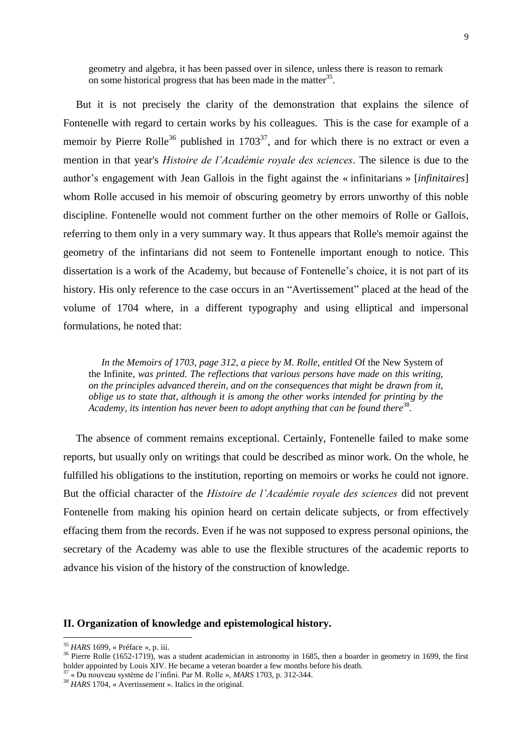geometry and algebra, it has been passed over in silence, unless there is reason to remark on some historical progress that has been made in the matter<sup>35</sup>.

But it is not precisely the clarity of the demonstration that explains the silence of Fontenelle with regard to certain works by his colleagues. This is the case for example of a memoir by Pierre Rolle<sup>36</sup> published in  $1703^{37}$ , and for which there is no extract or even a mention in that year's *Histoire de l'Académie royale des sciences*. The silence is due to the author's engagement with Jean Gallois in the fight against the « infinitarians » [*infinitaires*] whom Rolle accused in his memoir of obscuring geometry by errors unworthy of this noble discipline. Fontenelle would not comment further on the other memoirs of Rolle or Gallois, referring to them only in a very summary way. It thus appears that Rolle's memoir against the geometry of the infintarians did not seem to Fontenelle important enough to notice. This dissertation is a work of the Academy, but because of Fontenelle's choice, it is not part of its history. His only reference to the case occurs in an "Avertissement" placed at the head of the volume of 1704 where, in a different typography and using elliptical and impersonal formulations, he noted that:

*In the Memoirs of 1703, page 312, a piece by M. Rolle, entitled Of the New System of* the Infinite*, was printed. The reflections that various persons have made on this writing, on the principles advanced therein, and on the consequences that might be drawn from it, oblige us to state that, although it is among the other works intended for printing by the*  Academy, its intention has never been to adopt anything that can be found there<sup>38</sup>.

The absence of comment remains exceptional. Certainly, Fontenelle failed to make some reports, but usually only on writings that could be described as minor work. On the whole, he fulfilled his obligations to the institution, reporting on memoirs or works he could not ignore. But the official character of the *Histoire de l'Académie royale des sciences* did not prevent Fontenelle from making his opinion heard on certain delicate subjects, or from effectively effacing them from the records. Even if he was not supposed to express personal opinions, the secretary of the Academy was able to use the flexible structures of the academic reports to advance his vision of the history of the construction of knowledge.

# **II. Organization of knowledge and epistemological history.**

<sup>35</sup> *HARS* 1699, « Préface », p. iii.

<sup>&</sup>lt;sup>36</sup> Pierre Rolle (1652-1719), was a student academician in astronomy in 1685, then a boarder in geometry in 1699, the first holder appointed by Louis XIV. He became a veteran boarder a few months before his death.

<sup>37</sup> « Du nouveau système de l'infini. Par M. Rolle », *MARS* 1703, p. 312-344.

<sup>&</sup>lt;sup>38</sup> HARS 1704, « Avertissement ». Italics in the original.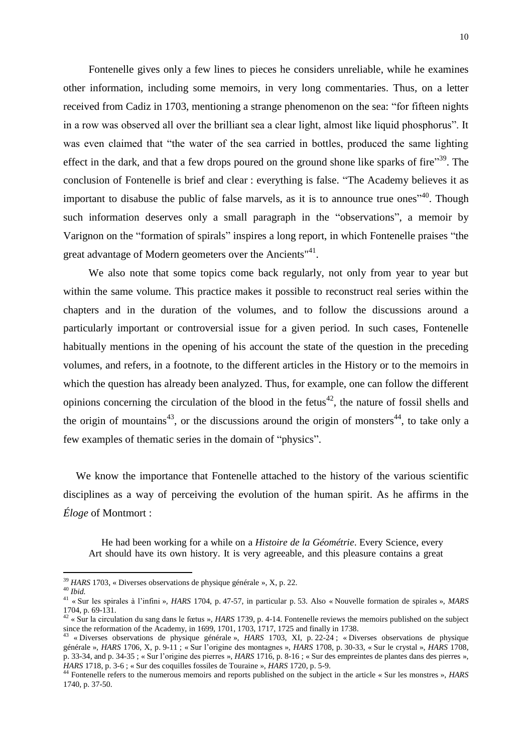Fontenelle gives only a few lines to pieces he considers unreliable, while he examines other information, including some memoirs, in very long commentaries. Thus, on a letter received from Cadiz in 1703, mentioning a strange phenomenon on the sea: "for fifteen nights in a row was observed all over the brilliant sea a clear light, almost like liquid phosphorus". It was even claimed that "the water of the sea carried in bottles, produced the same lighting effect in the dark, and that a few drops poured on the ground shone like sparks of fire"<sup>39</sup>. The conclusion of Fontenelle is brief and clear : everything is false. "The Academy believes it as important to disabuse the public of false marvels, as it is to announce true ones<sup>740</sup>. Though such information deserves only a small paragraph in the "observations", a memoir by Varignon on the "formation of spirals" inspires a long report, in which Fontenelle praises "the great advantage of Modern geometers over the Ancients"<sup>41</sup>.

We also note that some topics come back regularly, not only from year to year but within the same volume. This practice makes it possible to reconstruct real series within the chapters and in the duration of the volumes, and to follow the discussions around a particularly important or controversial issue for a given period. In such cases, Fontenelle habitually mentions in the opening of his account the state of the question in the preceding volumes, and refers, in a footnote, to the different articles in the History or to the memoirs in which the question has already been analyzed. Thus, for example, one can follow the different opinions concerning the circulation of the blood in the fetus $42$ , the nature of fossil shells and the origin of mountains<sup>43</sup>, or the discussions around the origin of monsters<sup>44</sup>, to take only a few examples of thematic series in the domain of "physics".

We know the importance that Fontenelle attached to the history of the various scientific disciplines as a way of perceiving the evolution of the human spirit. As he affirms in the *Éloge* of Montmort :

He had been working for a while on a *Histoire de la Géométrie*. Every Science, every Art should have its own history. It is very agreeable, and this pleasure contains a great

<sup>39</sup> *HARS* 1703, « Diverses observations de physique générale », X, p. 22.

<sup>40</sup> *Ibid.*

<sup>41</sup> « Sur les spirales à l'infini »*, HARS* 1704, p. 47-57, in particular p. 53. Also « Nouvelle formation de spirales », *MARS* 1704, p. 69-131.

 $42 \times$  Sur la circulation du sang dans le fœtus », *HARS* 1739, p. 4-14. Fontenelle reviews the memoirs published on the subject since the reformation of the Academy, in 1699, 1701, 1703, 1717, 1725 and finally in 1738.<br><sup>43</sup> «Diverses observations de physique générale»,  $HAPS 1703$ , NL, p 22.24 · «Div

<sup>«</sup> Diverses observations de physique générale », *HARS* 1703, XI, p. 22-24 ; « Diverses observations de physique générale », *HARS* 1706, X, p. 9-11 ; « Sur l'origine des montagnes », *HARS* 1708, p. 30-33, « Sur le crystal », *HARS* 1708, p. 33-34, and p. 34-35 ; « Sur l'origine des pierres », *HARS* 1716, p. 8-16 ; « Sur des empreintes de plantes dans des pierres », *HARS* 1718, p. 3-6 ; « Sur des coquilles fossiles de Touraine », *HARS* 1720, p. 5-9.

<sup>44</sup> Fontenelle refers to the numerous memoirs and reports published on the subject in the article « Sur les monstres », *HARS* 1740, p. 37-50.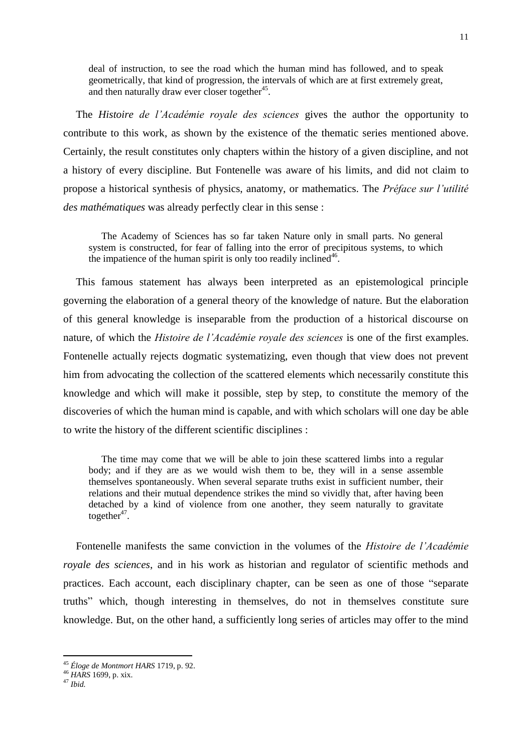deal of instruction, to see the road which the human mind has followed, and to speak geometrically, that kind of progression, the intervals of which are at first extremely great, and then naturally draw ever closer together<sup>45</sup>.

The *Histoire de l'Académie royale des sciences* gives the author the opportunity to contribute to this work, as shown by the existence of the thematic series mentioned above. Certainly, the result constitutes only chapters within the history of a given discipline, and not a history of every discipline. But Fontenelle was aware of his limits, and did not claim to propose a historical synthesis of physics, anatomy, or mathematics. The *Préface sur l'utilité des mathématiques* was already perfectly clear in this sense :

The Academy of Sciences has so far taken Nature only in small parts. No general system is constructed, for fear of falling into the error of precipitous systems, to which the impatience of the human spirit is only too readily inclined<sup>46</sup>.

This famous statement has always been interpreted as an epistemological principle governing the elaboration of a general theory of the knowledge of nature. But the elaboration of this general knowledge is inseparable from the production of a historical discourse on nature, of which the *Histoire de l'Académie royale des sciences* is one of the first examples. Fontenelle actually rejects dogmatic systematizing, even though that view does not prevent him from advocating the collection of the scattered elements which necessarily constitute this knowledge and which will make it possible, step by step, to constitute the memory of the discoveries of which the human mind is capable, and with which scholars will one day be able to write the history of the different scientific disciplines :

The time may come that we will be able to join these scattered limbs into a regular body; and if they are as we would wish them to be, they will in a sense assemble themselves spontaneously. When several separate truths exist in sufficient number, their relations and their mutual dependence strikes the mind so vividly that, after having been detached by a kind of violence from one another, they seem naturally to gravitate together $47$ .

Fontenelle manifests the same conviction in the volumes of the *Histoire de l'Académie royale des sciences*, and in his work as historian and regulator of scientific methods and practices. Each account, each disciplinary chapter, can be seen as one of those "separate truths" which, though interesting in themselves, do not in themselves constitute sure knowledge. But, on the other hand, a sufficiently long series of articles may offer to the mind

<sup>45</sup> *Éloge de Montmort HARS* 1719, p. 92.

<sup>46</sup> *HARS* 1699, p. xix.

<sup>47</sup> *Ibid.*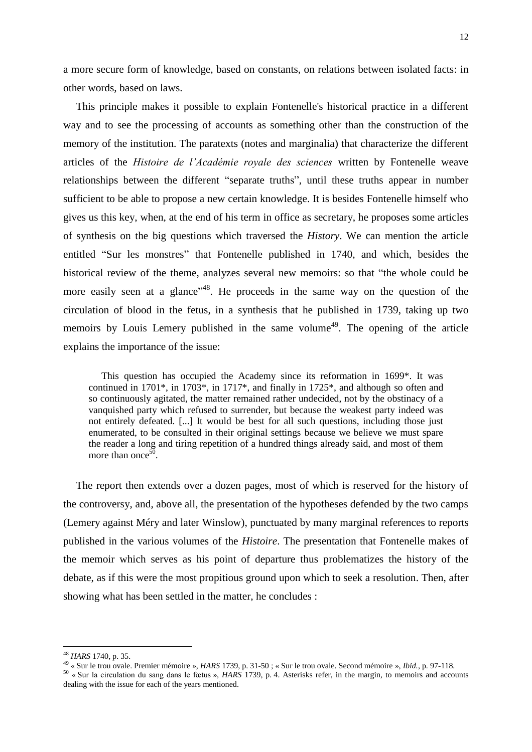a more secure form of knowledge, based on constants, on relations between isolated facts: in other words, based on laws.

This principle makes it possible to explain Fontenelle's historical practice in a different way and to see the processing of accounts as something other than the construction of the memory of the institution. The paratexts (notes and marginalia) that characterize the different articles of the *Histoire de l'Académie royale des sciences* written by Fontenelle weave relationships between the different "separate truths", until these truths appear in number sufficient to be able to propose a new certain knowledge. It is besides Fontenelle himself who gives us this key, when, at the end of his term in office as secretary, he proposes some articles of synthesis on the big questions which traversed the *History*. We can mention the article entitled "Sur les monstres" that Fontenelle published in 1740, and which, besides the historical review of the theme, analyzes several new memoirs: so that "the whole could be more easily seen at a glance<sup>148</sup>. He proceeds in the same way on the question of the circulation of blood in the fetus, in a synthesis that he published in 1739, taking up two memoirs by Louis Lemery published in the same volume<sup>49</sup>. The opening of the article explains the importance of the issue:

This question has occupied the Academy since its reformation in 1699\*. It was continued in 1701\*, in 1703\*, in 1717\*, and finally in 1725\*, and although so often and so continuously agitated, the matter remained rather undecided, not by the obstinacy of a vanquished party which refused to surrender, but because the weakest party indeed was not entirely defeated. [...] It would be best for all such questions, including those just enumerated, to be consulted in their original settings because we believe we must spare the reader a long and tiring repetition of a hundred things already said, and most of them more than once<sup>50</sup>.

The report then extends over a dozen pages, most of which is reserved for the history of the controversy, and, above all, the presentation of the hypotheses defended by the two camps (Lemery against Méry and later Winslow), punctuated by many marginal references to reports published in the various volumes of the *Histoire*. The presentation that Fontenelle makes of the memoir which serves as his point of departure thus problematizes the history of the debate, as if this were the most propitious ground upon which to seek a resolution. Then, after showing what has been settled in the matter, he concludes :

<sup>48</sup> *HARS* 1740, p. 35.

<sup>49</sup> « Sur le trou ovale. Premier mémoire », *HARS* 1739, p. 31-50 ; « Sur le trou ovale. Second mémoire », *Ibid.*, p. 97-118.

<sup>50</sup> « Sur la circulation du sang dans le fœtus », *HARS* 1739, p. 4. Asterisks refer, in the margin, to memoirs and accounts dealing with the issue for each of the years mentioned.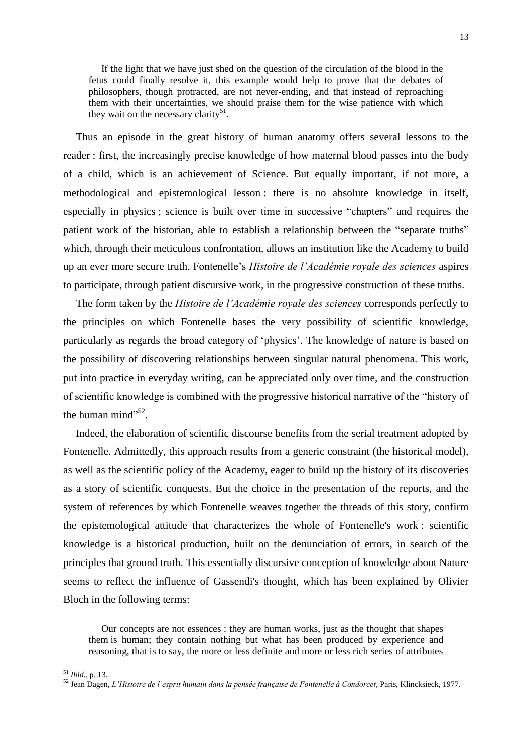If the light that we have just shed on the question of the circulation of the blood in the fetus could finally resolve it, this example would help to prove that the debates of philosophers, though protracted, are not never-ending, and that instead of reproaching them with their uncertainties, we should praise them for the wise patience with which they wait on the necessary clarity<sup>51</sup>.

Thus an episode in the great history of human anatomy offers several lessons to the reader : first, the increasingly precise knowledge of how maternal blood passes into the body of a child, which is an achievement of Science. But equally important, if not more, a methodological and epistemological lesson : there is no absolute knowledge in itself, especially in physics ; science is built over time in successive "chapters" and requires the patient work of the historian, able to establish a relationship between the "separate truths" which, through their meticulous confrontation, allows an institution like the Academy to build up an ever more secure truth. Fontenelle's *Histoire de l'Académie royale des sciences* aspires to participate, through patient discursive work, in the progressive construction of these truths.

The form taken by the *Histoire de l'Académie royale des sciences* corresponds perfectly to the principles on which Fontenelle bases the very possibility of scientific knowledge, particularly as regards the broad category of 'physics'. The knowledge of nature is based on the possibility of discovering relationships between singular natural phenomena. This work, put into practice in everyday writing, can be appreciated only over time, and the construction of scientific knowledge is combined with the progressive historical narrative of the "history of the human mind $^{52}$ .

Indeed, the elaboration of scientific discourse benefits from the serial treatment adopted by Fontenelle. Admittedly, this approach results from a generic constraint (the historical model), as well as the scientific policy of the Academy, eager to build up the history of its discoveries as a story of scientific conquests. But the choice in the presentation of the reports, and the system of references by which Fontenelle weaves together the threads of this story, confirm the epistemological attitude that characterizes the whole of Fontenelle's work : scientific knowledge is a historical production, built on the denunciation of errors, in search of the principles that ground truth. This essentially discursive conception of knowledge about Nature seems to reflect the influence of Gassendi's thought, which has been explained by Olivier Bloch in the following terms:

Our concepts are not essences : they are human works, just as the thought that shapes them is human; they contain nothing but what has been produced by experience and reasoning, that is to say, the more or less definite and more or less rich series of attributes

<sup>51</sup> *Ibid.*, p. 13.

<sup>52</sup> Jean Dagen, *L'Histoire de l'esprit humain dans la pensée française de Fontenelle à Condorcet*, Paris, Klincksieck, 1977.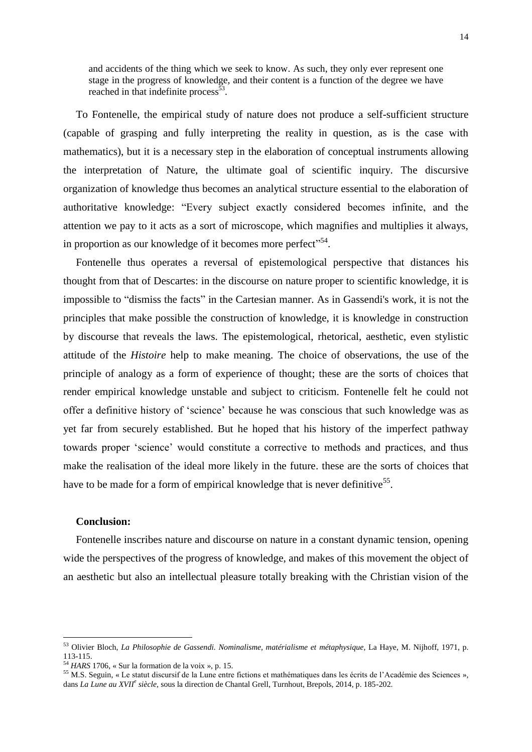and accidents of the thing which we seek to know. As such, they only ever represent one stage in the progress of knowledge, and their content is a function of the degree we have reached in that indefinite process<sup>53</sup>.

To Fontenelle, the empirical study of nature does not produce a self-sufficient structure (capable of grasping and fully interpreting the reality in question, as is the case with mathematics), but it is a necessary step in the elaboration of conceptual instruments allowing the interpretation of Nature, the ultimate goal of scientific inquiry. The discursive organization of knowledge thus becomes an analytical structure essential to the elaboration of authoritative knowledge: "Every subject exactly considered becomes infinite, and the attention we pay to it acts as a sort of microscope, which magnifies and multiplies it always, in proportion as our knowledge of it becomes more perfect"<sup>54</sup>.

Fontenelle thus operates a reversal of epistemological perspective that distances his thought from that of Descartes: in the discourse on nature proper to scientific knowledge, it is impossible to "dismiss the facts" in the Cartesian manner. As in Gassendi's work, it is not the principles that make possible the construction of knowledge, it is knowledge in construction by discourse that reveals the laws. The epistemological, rhetorical, aesthetic, even stylistic attitude of the *Histoire* help to make meaning. The choice of observations, the use of the principle of analogy as a form of experience of thought; these are the sorts of choices that render empirical knowledge unstable and subject to criticism. Fontenelle felt he could not offer a definitive history of 'science' because he was conscious that such knowledge was as yet far from securely established. But he hoped that his history of the imperfect pathway towards proper 'science' would constitute a corrective to methods and practices, and thus make the realisation of the ideal more likely in the future. these are the sorts of choices that have to be made for a form of empirical knowledge that is never definitive<sup>55</sup>.

## **Conclusion:**

 $\overline{a}$ 

Fontenelle inscribes nature and discourse on nature in a constant dynamic tension, opening wide the perspectives of the progress of knowledge, and makes of this movement the object of an aesthetic but also an intellectual pleasure totally breaking with the Christian vision of the

<sup>53</sup> Olivier Bloch, *La Philosophie de Gassendi. Nominalisme, matérialisme et métaphysique*, La Haye, M. Nijhoff, 1971, p. 113-115.

<sup>54</sup> *HARS* 1706, « Sur la formation de la voix », p. 15.

<sup>55</sup> M.S. Seguin, « Le statut discursif de la Lune entre fictions et mathématiques dans les écrits de l'Académie des Sciences », dans *La Lune au XVII<sup>e</sup> siècle,* sous la direction de Chantal Grell, Turnhout, Brepols, 2014, p. 185-202.